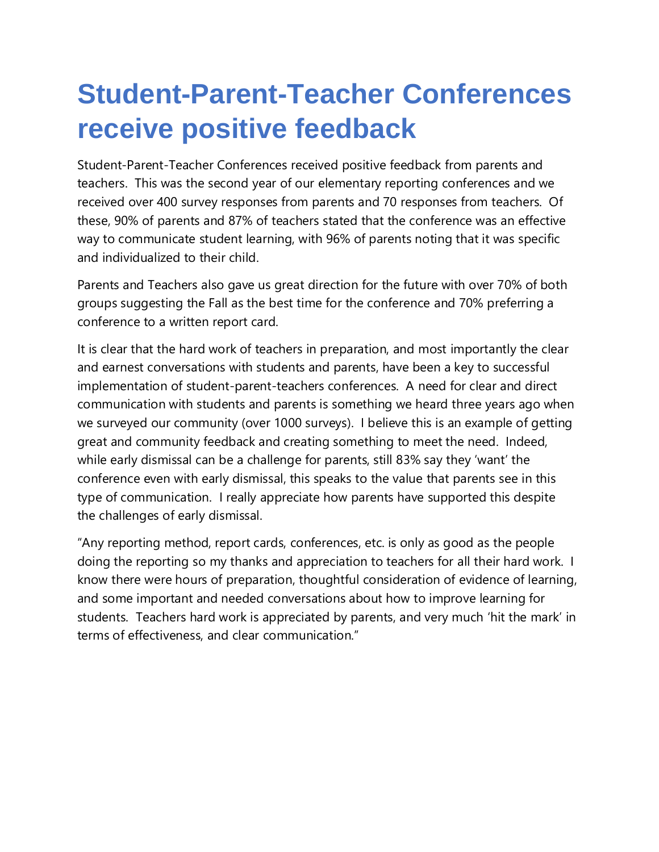## **Student-Parent-Teacher Conferences receive positive feedback**

Student-Parent-Teacher Conferences received positive feedback from parents and teachers. This was the second year of our elementary reporting conferences and we received over 400 survey responses from parents and 70 responses from teachers. Of these, 90% of parents and 87% of teachers stated that the conference was an effective way to communicate student learning, with 96% of parents noting that it was specific and individualized to their child.

Parents and Teachers also gave us great direction for the future with over 70% of both groups suggesting the Fall as the best time for the conference and 70% preferring a conference to a written report card.

It is clear that the hard work of teachers in preparation, and most importantly the clear and earnest conversations with students and parents, have been a key to successful implementation of student-parent-teachers conferences. A need for clear and direct communication with students and parents is something we heard three years ago when we surveyed our community (over 1000 surveys). I believe this is an example of getting great and community feedback and creating something to meet the need. Indeed, while early dismissal can be a challenge for parents, still 83% say they 'want' the conference even with early dismissal, this speaks to the value that parents see in this type of communication. I really appreciate how parents have supported this despite the challenges of early dismissal.

"Any reporting method, report cards, conferences, etc. is only as good as the people doing the reporting so my thanks and appreciation to teachers for all their hard work. I know there were hours of preparation, thoughtful consideration of evidence of learning, and some important and needed conversations about how to improve learning for students. Teachers hard work is appreciated by parents, and very much 'hit the mark' in terms of effectiveness, and clear communication."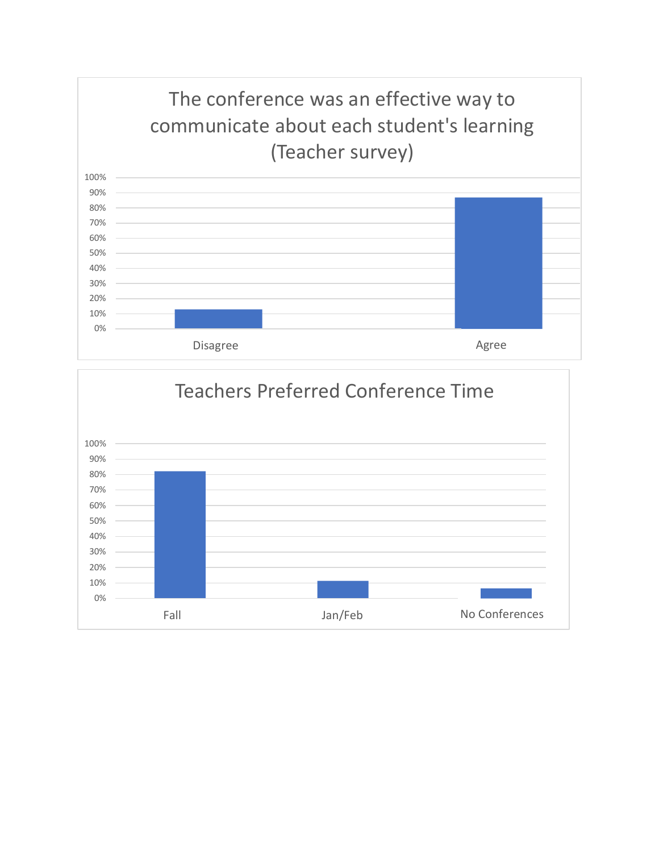

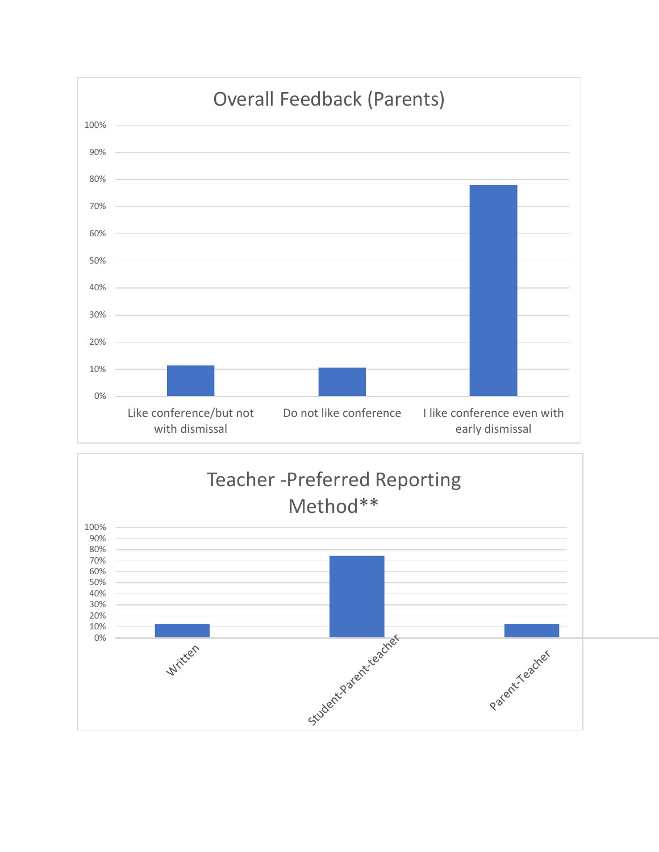